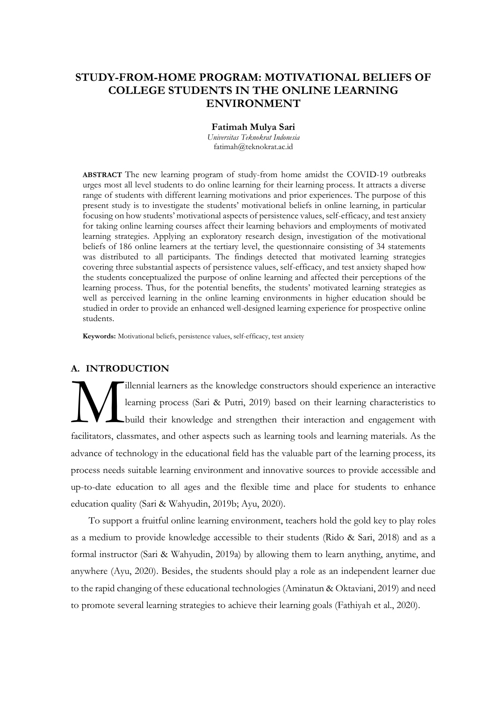# **STUDY-FROM-HOME PROGRAM: MOTIVATIONAL BELIEFS OF COLLEGE STUDENTS IN THE ONLINE LEARNING ENVIRONMENT**

#### **Fatimah Mulya Sari**

*Universitas Teknokrat Indonesia* fatimah@teknokrat.ac.id

**ABSTRACT** The new learning program of study-from home amidst the COVID-19 outbreaks urges most all level students to do online learning for their learning process. It attracts a diverse range of students with different learning motivations and prior experiences. The purpose of this present study is to investigate the students' motivational beliefs in online learning, in particular focusing on how students' motivational aspects of persistence values, self-efficacy, and test anxiety for taking online learning courses affect their learning behaviors and employments of motivated learning strategies. Applying an exploratory research design, investigation of the motivational beliefs of 186 online learners at the tertiary level, the questionnaire consisting of 34 statements was distributed to all participants. The findings detected that motivated learning strategies covering three substantial aspects of persistence values, self-efficacy, and test anxiety shaped how the students conceptualized the purpose of online learning and affected their perceptions of the learning process. Thus, for the potential benefits, the students' motivated learning strategies as well as perceived learning in the online learning environments in higher education should be studied in order to provide an enhanced well-designed learning experience for prospective online students.

**Keywords:** Motivational beliefs, persistence values, self-efficacy, test anxiety

# **A. INTRODUCTION**

illennial learners as the knowledge constructors should experience an interactive learning process (Sari & Putri, 2019) based on their learning characteristics to build their knowledge and strengthen their interaction and engagement with facilitators, classmates, and other aspects such as learning tools and learning materials. As the advance of technology in the educational field has the valuable part of the learning process, its process needs suitable learning environment and innovative sources to provide accessible and up-to-date education to all ages and the flexible time and place for students to enhance education quality (Sari & Wahyudin, 2019b; Ayu, 2020). M

To support a fruitful online learning environment, teachers hold the gold key to play roles as a medium to provide knowledge accessible to their students (Rido & Sari, 2018) and as a formal instructor (Sari & Wahyudin, 2019a) by allowing them to learn anything, anytime, and anywhere (Ayu, 2020). Besides, the students should play a role as an independent learner due to the rapid changing of these educational technologies (Aminatun & Oktaviani, 2019) and need to promote several learning strategies to achieve their learning goals (Fathiyah et al., 2020).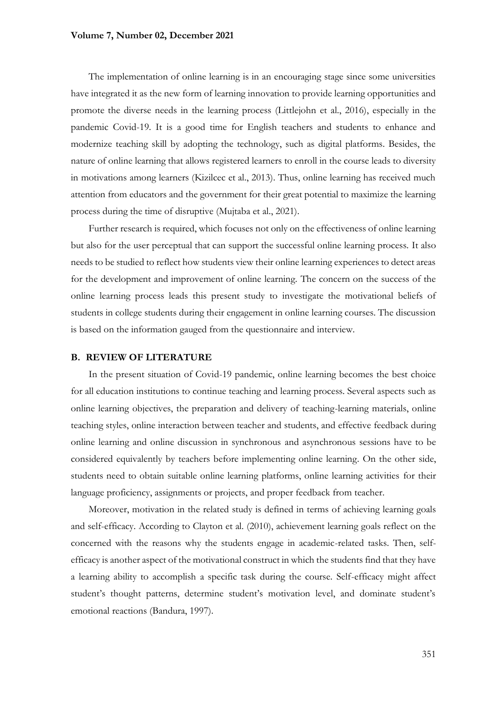### **Volume 7, Number 02, December 2021**

The implementation of online learning is in an encouraging stage since some universities have integrated it as the new form of learning innovation to provide learning opportunities and promote the diverse needs in the learning process (Littlejohn et al., 2016), especially in the pandemic Covid-19. It is a good time for English teachers and students to enhance and modernize teaching skill by adopting the technology, such as digital platforms. Besides, the nature of online learning that allows registered learners to enroll in the course leads to diversity in motivations among learners (Kizilcec et al., 2013). Thus, online learning has received much attention from educators and the government for their great potential to maximize the learning process during the time of disruptive (Mujtaba et al., 2021).

Further research is required, which focuses not only on the effectiveness of online learning but also for the user perceptual that can support the successful online learning process. It also needs to be studied to reflect how students view their online learning experiences to detect areas for the development and improvement of online learning. The concern on the success of the online learning process leads this present study to investigate the motivational beliefs of students in college students during their engagement in online learning courses. The discussion is based on the information gauged from the questionnaire and interview.

#### **B. REVIEW OF LITERATURE**

In the present situation of Covid-19 pandemic, online learning becomes the best choice for all education institutions to continue teaching and learning process. Several aspects such as online learning objectives, the preparation and delivery of teaching-learning materials, online teaching styles, online interaction between teacher and students, and effective feedback during online learning and online discussion in synchronous and asynchronous sessions have to be considered equivalently by teachers before implementing online learning. On the other side, students need to obtain suitable online learning platforms, online learning activities for their language proficiency, assignments or projects, and proper feedback from teacher.

Moreover, motivation in the related study is defined in terms of achieving learning goals and self-efficacy. According to Clayton et al. (2010), achievement learning goals reflect on the concerned with the reasons why the students engage in academic-related tasks. Then, selfefficacy is another aspect of the motivational construct in which the students find that they have a learning ability to accomplish a specific task during the course. Self-efficacy might affect student's thought patterns, determine student's motivation level, and dominate student's emotional reactions (Bandura, 1997).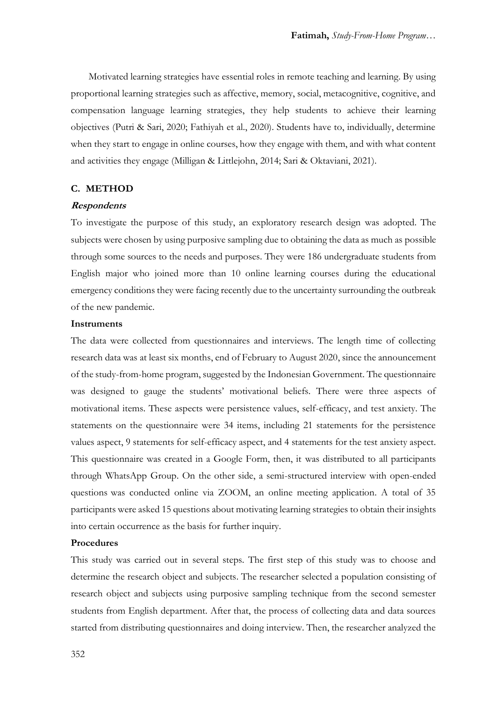Motivated learning strategies have essential roles in remote teaching and learning. By using proportional learning strategies such as affective, memory, social, metacognitive, cognitive, and compensation language learning strategies, they help students to achieve their learning objectives (Putri & Sari, 2020; Fathiyah et al., 2020). Students have to, individually, determine when they start to engage in online courses, how they engage with them, and with what content and activities they engage (Milligan & Littlejohn, 2014; Sari & Oktaviani, 2021).

## **C. METHOD**

### **Respondents**

To investigate the purpose of this study, an exploratory research design was adopted. The subjects were chosen by using purposive sampling due to obtaining the data as much as possible through some sources to the needs and purposes. They were 186 undergraduate students from English major who joined more than 10 online learning courses during the educational emergency conditions they were facing recently due to the uncertainty surrounding the outbreak of the new pandemic.

### **Instruments**

The data were collected from questionnaires and interviews. The length time of collecting research data was at least six months, end of February to August 2020, since the announcement of the study-from-home program, suggested by the Indonesian Government. The questionnaire was designed to gauge the students' motivational beliefs. There were three aspects of motivational items. These aspects were persistence values, self-efficacy, and test anxiety. The statements on the questionnaire were 34 items, including 21 statements for the persistence values aspect, 9 statements for self-efficacy aspect, and 4 statements for the test anxiety aspect. This questionnaire was created in a Google Form, then, it was distributed to all participants through WhatsApp Group. On the other side, a semi-structured interview with open-ended questions was conducted online via ZOOM, an online meeting application. A total of 35 participants were asked 15 questions about motivating learning strategies to obtain their insights into certain occurrence as the basis for further inquiry.

## **Procedures**

This study was carried out in several steps. The first step of this study was to choose and determine the research object and subjects. The researcher selected a population consisting of research object and subjects using purposive sampling technique from the second semester students from English department. After that, the process of collecting data and data sources started from distributing questionnaires and doing interview. Then, the researcher analyzed the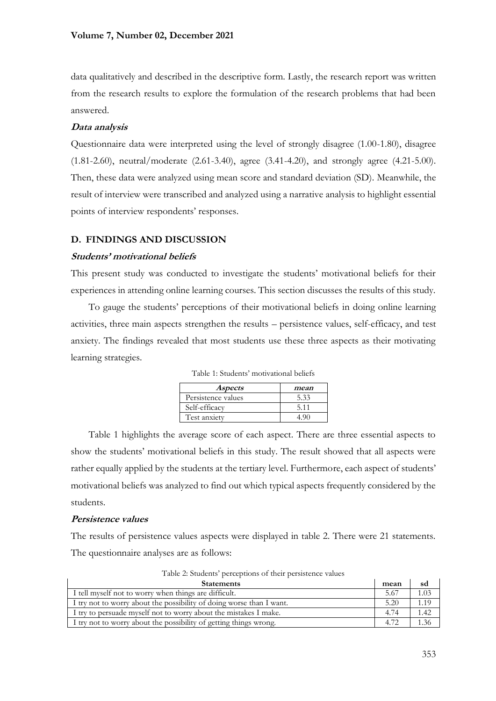data qualitatively and described in the descriptive form. Lastly, the research report was written from the research results to explore the formulation of the research problems that had been answered.

# **Data analysis**

Questionnaire data were interpreted using the level of strongly disagree (1.00-1.80), disagree (1.81-2.60), neutral/moderate (2.61-3.40), agree (3.41-4.20), and strongly agree (4.21-5.00). Then, these data were analyzed using mean score and standard deviation (SD). Meanwhile, the result of interview were transcribed and analyzed using a narrative analysis to highlight essential points of interview respondents' responses.

# **D. FINDINGS AND DISCUSSION**

# **Students' motivational beliefs**

This present study was conducted to investigate the students' motivational beliefs for their experiences in attending online learning courses. This section discusses the results of this study.

To gauge the students' perceptions of their motivational beliefs in doing online learning activities, three main aspects strengthen the results – persistence values, self-efficacy, and test anxiety. The findings revealed that most students use these three aspects as their motivating learning strategies.

| <i>Aspects</i>     | mean |
|--------------------|------|
| Persistence values | 5.33 |
| Self-efficacy      | 5.11 |
| Test anxiety       |      |

Table 1: Students' motivational beliefs

Table 1 highlights the average score of each aspect. There are three essential aspects to show the students' motivational beliefs in this study. The result showed that all aspects were rather equally applied by the students at the tertiary level. Furthermore, each aspect of students' motivational beliefs was analyzed to find out which typical aspects frequently considered by the students.

# **Persistence values**

The results of persistence values aspects were displayed in table 2. There were 21 statements. The questionnaire analyses are as follows:

| a wojec wy totologiem is celebratic the theory to celebratic state in the state of the control |      |      |
|------------------------------------------------------------------------------------------------|------|------|
| <b>Statements</b>                                                                              | mean | sd   |
| I tell myself not to worry when things are difficult.                                          | 5.67 | 1.03 |
| I try not to worry about the possibility of doing worse than I want.                           | 5.20 | 1.19 |
| I try to persuade myself not to worry about the mistakes I make.                               | 4.74 | 1.42 |
| I try not to worry about the possibility of getting things wrong.                              | 4.72 |      |

Table 2: Students' perceptions of their persistence values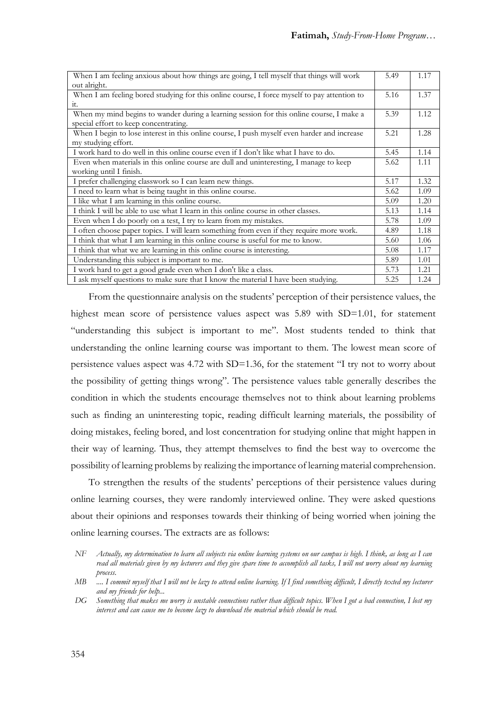| When I am feeling anxious about how things are going, I tell myself that things will work   | 5.49 | 1.17 |
|---------------------------------------------------------------------------------------------|------|------|
| out alright.                                                                                |      |      |
| When I am feeling bored studying for this online course, I force myself to pay attention to | 5.16 | 1.37 |
| it.                                                                                         |      |      |
| When my mind begins to wander during a learning session for this online course, I make a    | 5.39 | 1.12 |
| special effort to keep concentrating.                                                       |      |      |
| When I begin to lose interest in this online course, I push myself even harder and increase | 5.21 | 1.28 |
| my studying effort.                                                                         |      |      |
| I work hard to do well in this online course even if I don't like what I have to do.        | 5.45 | 1.14 |
| Even when materials in this online course are dull and uninteresting, I manage to keep      | 5.62 | 1.11 |
| working until I finish.                                                                     |      |      |
| I prefer challenging classwork so I can learn new things.                                   | 5.17 | 1.32 |
| I need to learn what is being taught in this online course.                                 | 5.62 | 1.09 |
| I like what I am learning in this online course.                                            | 5.09 | 1.20 |
| I think I will be able to use what I learn in this online course in other classes.          | 5.13 | 1.14 |
| Even when I do poorly on a test, I try to learn from my mistakes.                           | 5.78 | 1.09 |
| I often choose paper topics. I will learn something from even if they require more work.    | 4.89 | 1.18 |
| I think that what I am learning in this online course is useful for me to know.             | 5.60 | 1.06 |
| I think that what we are learning in this online course is interesting.                     | 5.08 | 1.17 |
| Understanding this subject is important to me.                                              | 5.89 | 1.01 |
| I work hard to get a good grade even when I don't like a class.                             | 5.73 | 1.21 |
| I ask myself questions to make sure that I know the material I have been studying.          | 5.25 | 1.24 |

From the questionnaire analysis on the students' perception of their persistence values, the highest mean score of persistence values aspect was 5.89 with SD=1.01, for statement "understanding this subject is important to me". Most students tended to think that understanding the online learning course was important to them. The lowest mean score of persistence values aspect was 4.72 with SD=1.36, for the statement "I try not to worry about the possibility of getting things wrong". The persistence values table generally describes the condition in which the students encourage themselves not to think about learning problems such as finding an uninteresting topic, reading difficult learning materials, the possibility of doing mistakes, feeling bored, and lost concentration for studying online that might happen in their way of learning. Thus, they attempt themselves to find the best way to overcome the possibility of learning problems by realizing the importance of learning material comprehension.

To strengthen the results of the students' perceptions of their persistence values during online learning courses, they were randomly interviewed online. They were asked questions about their opinions and responses towards their thinking of being worried when joining the online learning courses. The extracts are as follows:

*NF Actually, my determination to learn all subjects via online learning systems on our campus is high. I think, as long as I can read all materials given by my lecturers and they give spare time to accomplish all tasks, I will not worry about my learning process.*

*MB .... I commit myself that I will not be lazy to attend online learning. If I find something difficult, I directly texted my lecturer and my friends for help...*

*DG Something that makes me worry is unstable connections rather than difficult topics. When I got a bad connection, I lost my interest and can cause me to become lazy to download the material which should be read.*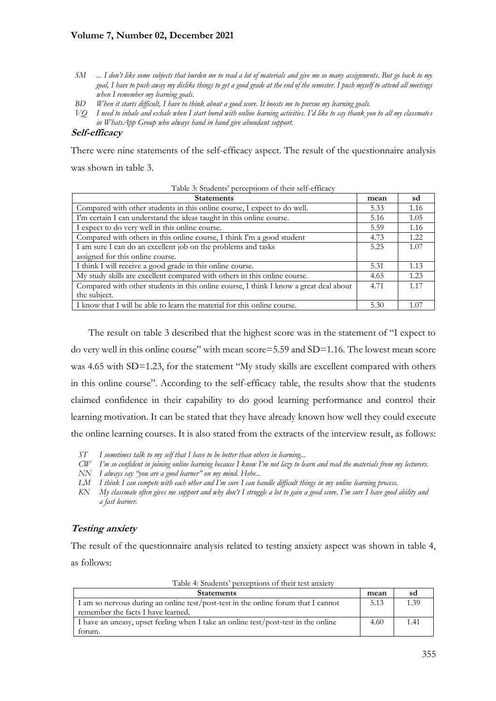# **Volume 7, Number 02, December 2021**

- *SM* ... I don't like some subjects that burden me to read a lot of materials and give me so many assignments. But go back to my *goal, I have to push away my dislike things to get a good grade at the end of the semester. I push myself to attend all meetings when I remember my learning goals.*
- *BD When it starts difficult, I have to think about a good score. It boosts me to pursue my learning goals.*
- *VQ I need to inhale and exhale when I start bored with online learning activities. I'd like to say thank you to all my classmates in WhatsApp Group who always hand in hand give abundant support.*

### **Self-efficacy**

There were nine statements of the self-efficacy aspect. The result of the questionnaire analysis was shown in table 3.

| Table 3: Students' perceptions of their self-efficacy                                 |      |       |
|---------------------------------------------------------------------------------------|------|-------|
| <b>Statements</b>                                                                     | mean | sd    |
| Compared with other students in this online course, I expect to do well.              | 5.33 | 1.16  |
| I'm certain I can understand the ideas taught in this online course.                  | 5.16 | 1.05  |
| I expect to do very well in this online course.                                       | 5.59 | 1.16  |
| Compared with others in this online course, I think I'm a good student                | 4.73 | 1.22. |
| I am sure I can do an excellent job on the problems and tasks                         | 5.25 | 1.07  |
| assigned for this online course.                                                      |      |       |
| I think I will receive a good grade in this online course.                            | 5.31 | 1.13  |
| My study skills are excellent compared with others in this online course.             | 4.65 | 1.23  |
| Compared with other students in this online course, I think I know a great deal about | 4.71 | 1.17  |
| the subject.                                                                          |      |       |
| I know that I will be able to learn the material for this online course.              | 5.30 | 1.07  |

The result on table 3 described that the highest score was in the statement of "I expect to do very well in this online course" with mean score=5.59 and SD=1.16. The lowest mean score was 4.65 with SD=1.23, for the statement "My study skills are excellent compared with others in this online course". According to the self-efficacy table, the results show that the students claimed confidence in their capability to do good learning performance and control their learning motivation. It can be stated that they have already known how well they could execute the online learning courses. It is also stated from the extracts of the interview result, as follows:

- *ST I sometimes talk to my self that I have to be better than others in learning...*
- *CW I'm so confident in joining online learning because I know I'm not lazy to learn and read the materials from my lecturers.*
- *NN I always say "you are a good learner" on my mind. Hehe...*
- *LM I think I can compete with each other and I'm sure I can handle difficult things in my online learning process.*
- *KN My classmate often gives me support and why don't I struggle a lot to gain a good score. I'm sure I have good ability and a fast learner.*

# **Testing anxiety**

The result of the questionnaire analysis related to testing anxiety aspect was shown in table 4, as follows:

Table 4: Students' perceptions of their test anxiety

| <b>Statements</b>                                                                  | mean | sd   |
|------------------------------------------------------------------------------------|------|------|
| I am so nervous during an online test/post-test in the online forum that I cannot  | 5.13 | 1.39 |
| remember the facts I have learned.                                                 |      |      |
| I have an uneasy, upset feeling when I take an online test/post-test in the online | 4.60 | 1.41 |
| torum.                                                                             |      |      |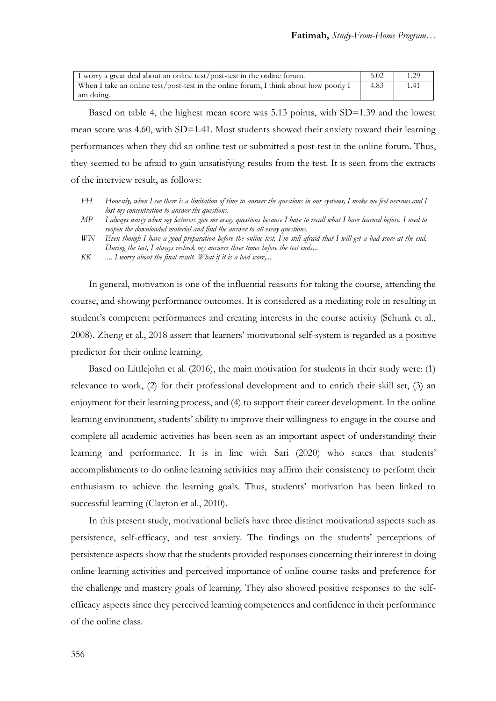| I worry a great deal about an online test/post-test in the online forum.             | 5.02 | 1.29 |
|--------------------------------------------------------------------------------------|------|------|
| When I take an online test/post-test in the online forum, I think about how poorly I | 4.83 | 1.41 |
| am doing.                                                                            |      |      |

Based on table 4, the highest mean score was 5.13 points, with SD=1.39 and the lowest mean score was 4.60, with SD=1.41. Most students showed their anxiety toward their learning performances when they did an online test or submitted a post-test in the online forum. Thus, they seemed to be afraid to gain unsatisfying results from the test. It is seen from the extracts of the interview result, as follows:

- *FH Honestly, when I see there is a limitation of time to answer the questions in our systems, I make me feel nervous and I lost my concentration to answer the questions.*
- *MP I always worry when my lecturers give me essay questions because I have to recall what I have learned before. I need to reopen the downloaded material and find the answer to all essay questions.*
- *WN Even though I have a good preparation before the online test, I'm still afraid that I will get a bad score at the end. During the test, I always recheck my answers three times before the test ends...*
- *KK .... I worry about the final result. What if it is a bad score,...*

In general, motivation is one of the influential reasons for taking the course, attending the course, and showing performance outcomes. It is considered as a mediating role in resulting in student's competent performances and creating interests in the course activity (Schunk et al., 2008). Zheng et al., 2018 assert that learners' motivational self-system is regarded as a positive predictor for their online learning.

Based on Littlejohn et al. (2016), the main motivation for students in their study were: (1) relevance to work, (2) for their professional development and to enrich their skill set, (3) an enjoyment for their learning process, and (4) to support their career development. In the online learning environment, students' ability to improve their willingness to engage in the course and complete all academic activities has been seen as an important aspect of understanding their learning and performance. It is in line with Sari (2020) who states that students' accomplishments to do online learning activities may affirm their consistency to perform their enthusiasm to achieve the learning goals. Thus, students' motivation has been linked to successful learning (Clayton et al., 2010).

In this present study, motivational beliefs have three distinct motivational aspects such as persistence, self-efficacy, and test anxiety. The findings on the students' perceptions of persistence aspects show that the students provided responses concerning their interest in doing online learning activities and perceived importance of online course tasks and preference for the challenge and mastery goals of learning. They also showed positive responses to the selfefficacy aspects since they perceived learning competences and confidence in their performance of the online class.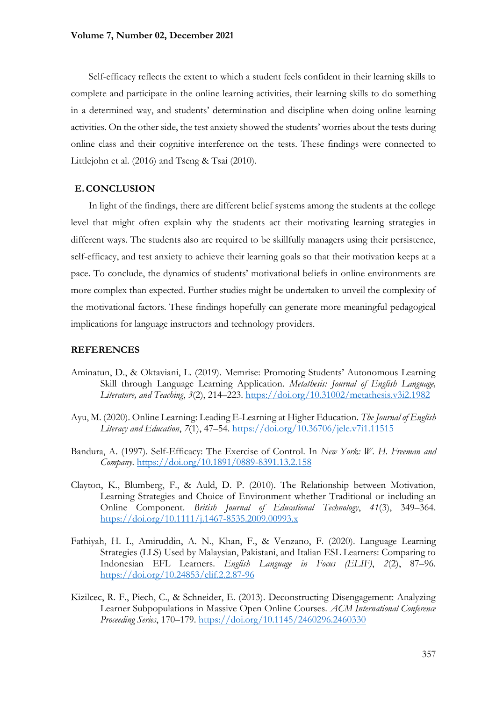Self-efficacy reflects the extent to which a student feels confident in their learning skills to complete and participate in the online learning activities, their learning skills to do something in a determined way, and students' determination and discipline when doing online learning activities. On the other side, the test anxiety showed the students' worries about the tests during online class and their cognitive interference on the tests. These findings were connected to Littlejohn et al.  $(2016)$  and Tseng & Tsai  $(2010)$ .

# **E.CONCLUSION**

In light of the findings, there are different belief systems among the students at the college level that might often explain why the students act their motivating learning strategies in different ways. The students also are required to be skillfully managers using their persistence, self-efficacy, and test anxiety to achieve their learning goals so that their motivation keeps at a pace. To conclude, the dynamics of students' motivational beliefs in online environments are more complex than expected. Further studies might be undertaken to unveil the complexity of the motivational factors. These findings hopefully can generate more meaningful pedagogical implications for language instructors and technology providers.

### **REFERENCES**

- Aminatun, D., & Oktaviani, L. (2019). Memrise: Promoting Students' Autonomous Learning Skill through Language Learning Application. *Metathesis: Journal of English Language, Literature, and Teaching*, *3*(2), 214–223.<https://doi.org/10.31002/metathesis.v3i2.1982>
- Ayu, M. (2020). Online Learning: Leading E-Learning at Higher Education. *The Journal of English Literacy and Education*, *7*(1), 47–54.<https://doi.org/10.36706/jele.v7i1.11515>
- Bandura, A. (1997). Self-Efficacy: The Exercise of Control. In *New York: W. H. Freeman and Company*.<https://doi.org/10.1891/0889-8391.13.2.158>
- Clayton, K., Blumberg, F., & Auld, D. P. (2010). The Relationship between Motivation, Learning Strategies and Choice of Environment whether Traditional or including an Online Component. *British Journal of Educational Technology*, *41*(3), 349–364. <https://doi.org/10.1111/j.1467-8535.2009.00993.x>
- Fathiyah, H. I., Amiruddin, A. N., Khan, F., & Venzano, F. (2020). Language Learning Strategies (LLS) Used by Malaysian, Pakistani, and Italian ESL Learners: Comparing to Indonesian EFL Learners. *English Language in Focus (ELIF)*, *2*(2), 87–96. <https://doi.org/10.24853/elif.2.2.87-96>
- Kizilcec, R. F., Piech, C., & Schneider, E. (2013). Deconstructing Disengagement: Analyzing Learner Subpopulations in Massive Open Online Courses. *ACM International Conference Proceeding Series*, 170–179.<https://doi.org/10.1145/2460296.2460330>